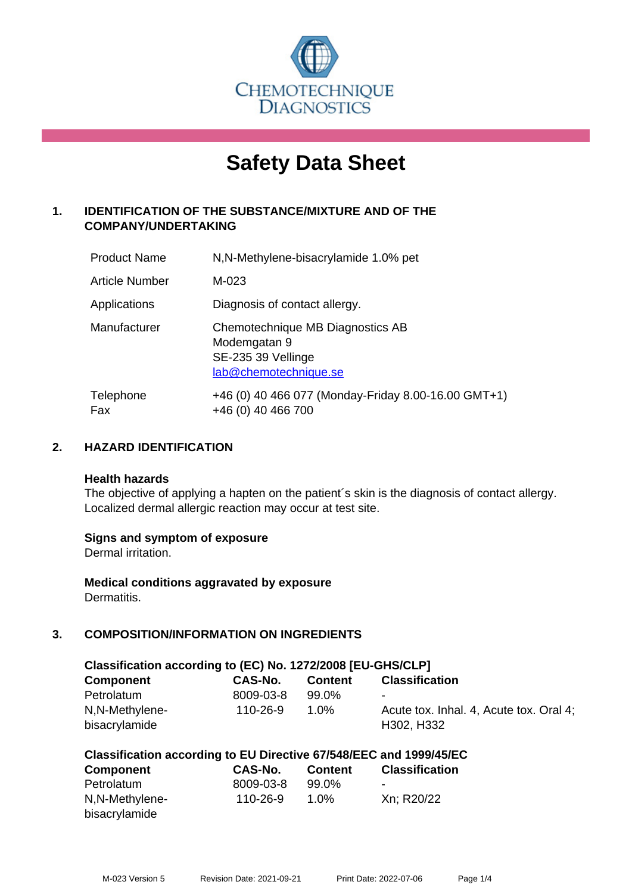

# **Safety Data Sheet**

# **1. IDENTIFICATION OF THE SUBSTANCE/MIXTURE AND OF THE COMPANY/UNDERTAKING**

| <b>Product Name</b> | N,N-Methylene-bisacrylamide 1.0% pet                                                            |
|---------------------|-------------------------------------------------------------------------------------------------|
| Article Number      | M-023                                                                                           |
| Applications        | Diagnosis of contact allergy.                                                                   |
| Manufacturer        | Chemotechnique MB Diagnostics AB<br>Modemgatan 9<br>SE-235 39 Vellinge<br>lab@chemotechnique.se |
| Telephone<br>Fax    | +46 (0) 40 466 077 (Monday-Friday 8.00-16.00 GMT+1)<br>+46 (0) 40 466 700                       |

## **2. HAZARD IDENTIFICATION**

#### **Health hazards**

The objective of applying a hapten on the patient's skin is the diagnosis of contact allergy. Localized dermal allergic reaction may occur at test site.

## **Signs and symptom of exposure**

Dermal irritation.

**Medical conditions aggravated by exposure** Dermatitis.

# **3. COMPOSITION/INFORMATION ON INGREDIENTS**

| Classification according to (EC) No. 1272/2008 [EU-GHS/CLP] |           |                |                                                       |  |  |
|-------------------------------------------------------------|-----------|----------------|-------------------------------------------------------|--|--|
| <b>Component</b>                                            | CAS-No.   | <b>Content</b> | <b>Classification</b>                                 |  |  |
| Petrolatum                                                  | 8009-03-8 | 99.0%          | $\blacksquare$                                        |  |  |
| N,N-Methylene-<br>bisacrylamide                             | 110-26-9  | 1.0%           | Acute tox. Inhal. 4, Acute tox. Oral 4;<br>H302, H332 |  |  |

| Classification according to EU Directive 67/548/EEC and 1999/45/EC |  |  |  |
|--------------------------------------------------------------------|--|--|--|
|--------------------------------------------------------------------|--|--|--|

| <b>Component</b> | CAS-No.   | <b>Content</b> | <b>Classification</b> |
|------------------|-----------|----------------|-----------------------|
| Petrolatum       | 8009-03-8 | $99.0\%$       | $\blacksquare$        |
| N, N-Methylene-  | 110-26-9  | $1.0\%$        | Xn; R20/22            |
| bisacrylamide    |           |                |                       |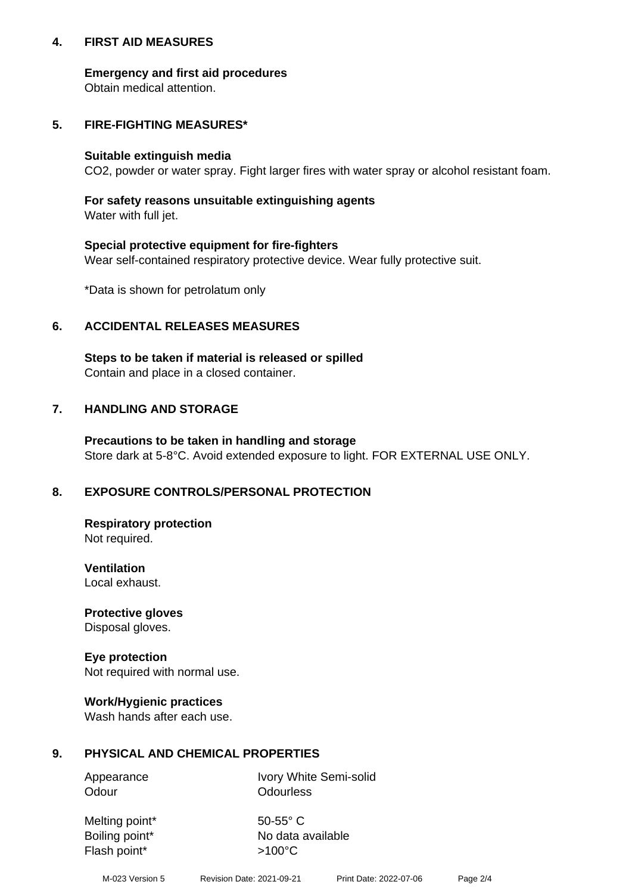## **4. FIRST AID MEASURES**

## **Emergency and first aid procedures**

Obtain medical attention.

# **5. FIRE-FIGHTING MEASURES\***

#### **Suitable extinguish media**

CO2, powder or water spray. Fight larger fires with water spray or alcohol resistant foam.

# **For safety reasons unsuitable extinguishing agents**

Water with full jet.

## **Special protective equipment for fire-fighters**

Wear self-contained respiratory protective device. Wear fully protective suit.

\*Data is shown for petrolatum only

## **6. ACCIDENTAL RELEASES MEASURES**

**Steps to be taken if material is released or spilled** Contain and place in a closed container.

# **7. HANDLING AND STORAGE**

**Precautions to be taken in handling and storage** Store dark at 5-8°C. Avoid extended exposure to light. FOR EXTERNAL USE ONLY.

# **8. EXPOSURE CONTROLS/PERSONAL PROTECTION**

**Respiratory protection** Not required.

**Ventilation** Local exhaust.

**Protective gloves** Disposal gloves.

#### **Eye protection** Not required with normal use.

## **Work/Hygienic practices**

Wash hands after each use.

## **9. PHYSICAL AND CHEMICAL PROPERTIES**

Odour **Odourless** 

Appearance Ivory White Semi-solid

Melting point\* 50-55° C Flash point\*  $>100^{\circ}$ C

Boiling point\* No data available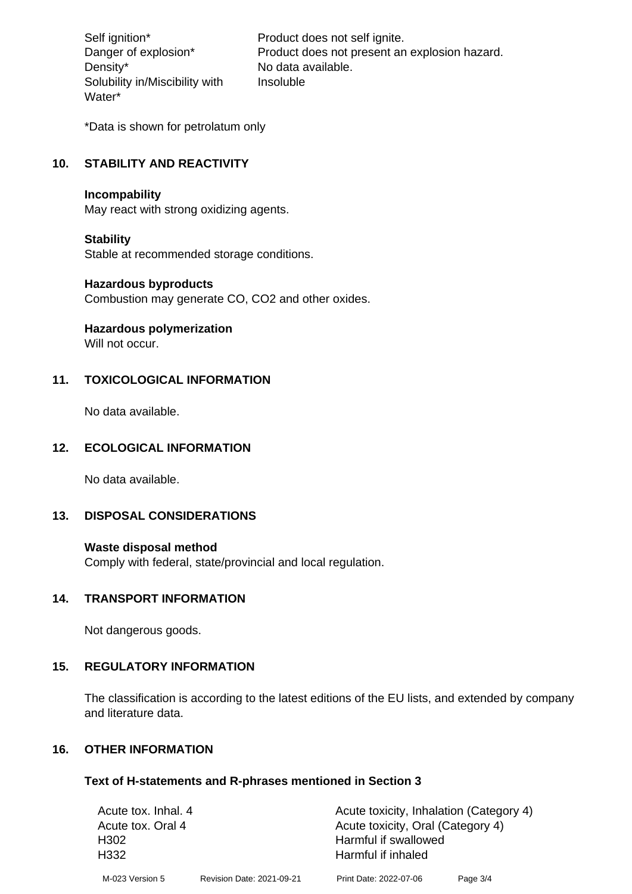Density\* No data available. Solubility in/Miscibility with Water\*

Self ignition\* Product does not self ignite. Danger of explosion\* Product does not present an explosion hazard. Insoluble

\*Data is shown for petrolatum only

# **10. STABILITY AND REACTIVITY**

#### **Incompability**

May react with strong oxidizing agents.

#### **Stability**

Stable at recommended storage conditions.

#### **Hazardous byproducts**

Combustion may generate CO, CO2 and other oxides.

**Hazardous polymerization**

Will not occur.

## **11. TOXICOLOGICAL INFORMATION**

No data available.

#### **12. ECOLOGICAL INFORMATION**

No data available.

## **13. DISPOSAL CONSIDERATIONS**

#### **Waste disposal method**

Comply with federal, state/provincial and local regulation.

#### **14. TRANSPORT INFORMATION**

Not dangerous goods.

## **15. REGULATORY INFORMATION**

The classification is according to the latest editions of the EU lists, and extended by company and literature data.

#### **16. OTHER INFORMATION**

#### **Text of H-statements and R-phrases mentioned in Section 3**

| Acute tox. Inhal. 4                                    |                           | Acute toxicity, Inhalation (Category 4) |            |  |
|--------------------------------------------------------|---------------------------|-----------------------------------------|------------|--|
| Acute toxicity, Oral (Category 4)<br>Acute tox. Oral 4 |                           |                                         |            |  |
| H <sub>302</sub>                                       |                           | Harmful if swallowed                    |            |  |
| H <sub>332</sub>                                       |                           | Harmful if inhaled                      |            |  |
| M-023 Version 5                                        | Revision Date: 2021-09-21 | Print Date: 2022-07-06                  | Page $3/4$ |  |